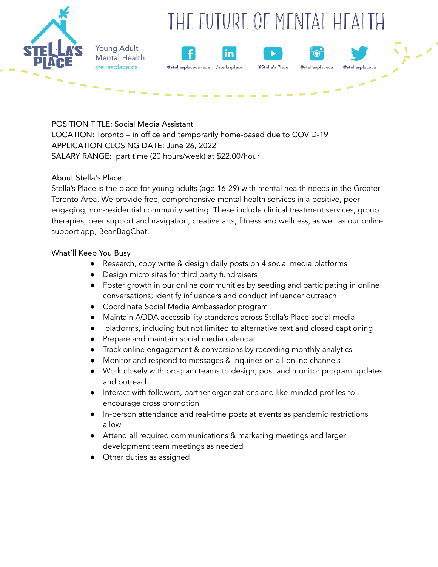# THE FUTURE OF MENTAL HEALTH



**Young Adult Mental Health** stellasplace.ca





@stellasplaceca

POSITION TITLE: Social Media Assistant LOCATION: Toronto – in office and temporarily home-based due to COVID-19 APPLICATION CLOSING DATE: June 26, 2022 SALARY RANGE: part time (20 hours/week) at \$22.00/hour

#### About Stella's Place

Stella's Place is the place for young adults (age 16-29) with mental health needs in the Greater Toronto Area. We provide free, comprehensive mental health services in a positive, peer engaging, non-residential community setting. These include clinical treatment services, group therapies, peer support and navigation, creative arts, fitness and wellness, as well as our online support app, BeanBagChat.

### What'll Keep You Busy

- Research, copy write & design daily posts on 4 social media platforms
- Design micro sites for third party fundraisers
- Foster growth in our online communities by seeding and participating in online conversations; identify influencers and conduct influencer outreach
- Coordinate Social Media Ambassador program
- Maintain AODA accessibility standards across Stella's Place social media
- platforms, including but not limited to alternative text and closed captioning
- Prepare and maintain social media calendar
- Track online engagement & conversions by recording monthly analytics
- Monitor and respond to messages & inquiries on all online channels
- Work closely with program teams to design, post and monitor program updates and outreach
- Interact with followers, partner organizations and like-minded profiles to encourage cross promotion
- In-person attendance and real-time posts at events as pandemic restrictions allow
- Attend all required communications & marketing meetings and larger development team meetings as needed
- Other duties as assigned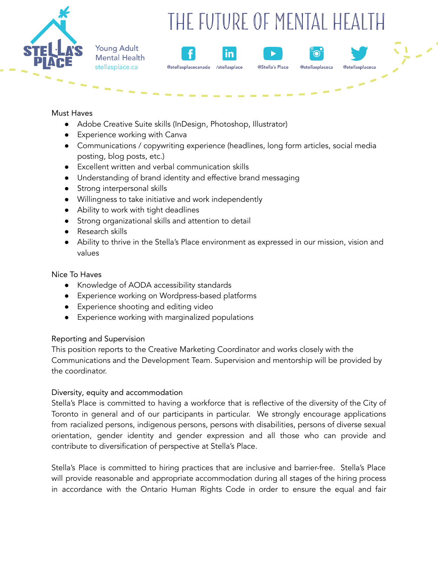

**Young Adult Mental Health** stellasplace.ca

# THE FUTURE OF MENTAL HEALTH

in



O

@stellasplaceca

@stellasn

Must Haves

● Adobe Creative Suite skills (InDesign, Photoshop, Illustrator)

@stellasplacecanada

- Experience working with Canva
- Communications / copywriting experience (headlines, long form articles, social media posting, blog posts, etc.)
- Excellent written and verbal communication skills
- Understanding of brand identity and effective brand messaging
- Strong interpersonal skills
- Willingness to take initiative and work independently
- Ability to work with tight deadlines
- Strong organizational skills and attention to detail
- Research skills
- Ability to thrive in the Stella's Place environment as expressed in our mission, vision and values

Nice To Haves

- Knowledge of AODA accessibility standards
- Experience working on Wordpress-based platforms
- Experience shooting and editing video
- Experience working with marginalized populations

## Reporting and Supervision

This position reports to the Creative Marketing Coordinator and works closely with the Communications and the Development Team. Supervision and mentorship will be provided by the coordinator.

### Diversity, equity and accommodation

Stella's Place is committed to having a workforce that is reflective of the diversity of the City of Toronto in general and of our participants in particular. We strongly encourage applications from racialized persons, indigenous persons, persons with disabilities, persons of diverse sexual orientation, gender identity and gender expression and all those who can provide and contribute to diversification of perspective at Stella's Place.

Stella's Place is committed to hiring practices that are inclusive and barrier-free. Stella's Place will provide reasonable and appropriate accommodation during all stages of the hiring process in accordance with the Ontario Human Rights Code in order to ensure the equal and fair